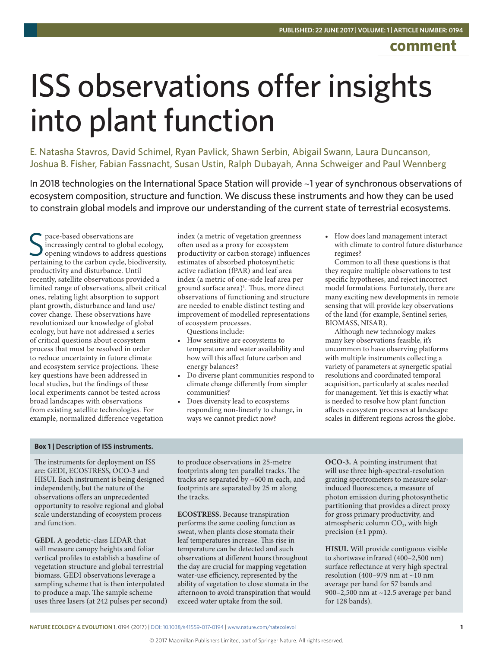# **comment**

# ISS observations offer insights into plant function

E. Natasha Stavros, David Schimel, Ryan Pavlick, Shawn Serbin, Abigail Swann, Laura Duncanson, Joshua B. Fisher, Fabian Fassnacht, Susan Ustin, Ralph Dubayah, Anna Schweiger and Paul Wennberg

In 2018 technologies on the International Space Station will provide **~**1 year of synchronous observations of ecosystem composition, structure and function. We discuss these instruments and how they can be used to constrain global models and improve our understanding of the current state of terrestrial ecosystems.

S pace-based observations are<br>
Sincreasingly central to global ecology,<br>
opening windows to address questions<br>
pertaining to the carbon cycle, biodiversity, pace-based observations are increasingly central to global ecology, opening windows to address questions productivity and disturbance. Until recently, satellite observations provided a limited range of observations, albeit critical ones, relating light absorption to support plant growth, disturbance and land use/ cover change. These observations have revolutionized our knowledge of global ecology, but have not addressed a series of critical questions about ecosystem process that must be resolved in order to reduce uncertainty in future climate and ecosystem service projections. These key questions have been addressed in local studies, but the findings of these local experiments cannot be tested across broad landscapes with observations from existing satellite technologies. For example, normalized difference vegetation

index (a metric of vegetation greenness often used as a proxy for ecosystem productivity or carbon storage) influences estimates of absorbed photosynthetic active radiation (fPAR) and leaf area index (a metric of one-side leaf area per ground surface area)<sup>1</sup>. Thus, more direct observations of functioning and structure are needed to enable distinct testing and improvement of modelled representations of ecosystem processes.

Questions include:

- How sensitive are ecosystems to temperature and water availability and how will this affect future carbon and energy balances?
- Do diverse plant communities respond to climate change differently from simpler communities?
- Does diversity lead to ecosystems responding non-linearly to change, in ways we cannot predict now?

• How does land management interact with climate to control future disturbance regimes?

Common to all these questions is that they require multiple observations to test specific hypotheses, and reject incorrect model formulations. Fortunately, there are many exciting new developments in remote sensing that will provide key observations of the land (for example, Sentinel series, BIOMASS, NISAR).

Although new technology makes many key observations feasible, it's uncommon to have observing platforms with multiple instruments collecting a variety of parameters at synergetic spatial resolutions and coordinated temporal acquisition, particularly at scales needed for management. Yet this is exactly what is needed to resolve how plant function affects ecosystem processes at landscape scales in different regions across the globe.

# **Box 1 | Description of ISS instruments.**

The instruments for deployment on ISS are: GEDI, ECOSTRESS, OCO-3 and HISUI. Each instrument is being designed independently, but the nature of the observations offers an unprecedented opportunity to resolve regional and global scale understanding of ecosystem process and function.

**GEDI.** A geodetic-class LIDAR that will measure canopy heights and foliar vertical profiles to establish a baseline of vegetation structure and global terrestrial biomass. GEDI observations leverage a sampling scheme that is then interpolated to produce a map. The sample scheme uses three lasers (at 242 pulses per second) to produce observations in 25-metre footprints along ten parallel tracks. The tracks are separated by ~600 m each, and footprints are separated by 25 m along the tracks.

**ECOSTRESS.** Because transpiration performs the same cooling function as sweat, when plants close stomata their leaf temperatures increase. This rise in temperature can be detected and such observations at different hours throughout the day are crucial for mapping vegetation water-use efficiency, represented by the ability of vegetation to close stomata in the afternoon to avoid transpiration that would exceed water uptake from the soil.

**OCO-3.** A pointing instrument that will use three high-spectral-resolution grating spectrometers to measure solarinduced fluorescence, a measure of photon emission during photosynthetic partitioning that provides a direct proxy for gross primary productivity, and atmospheric column  $CO<sub>2</sub>$ , with high precision (±1 ppm).

**HISUI.** Will provide contiguous visible to shortwave infrared (400–2,500 nm) surface reflectance at very high spectral resolution (400–979 nm at ~10 nm average per band for 57 bands and 900–2,500 nm at ~12.5 average per band for 128 bands).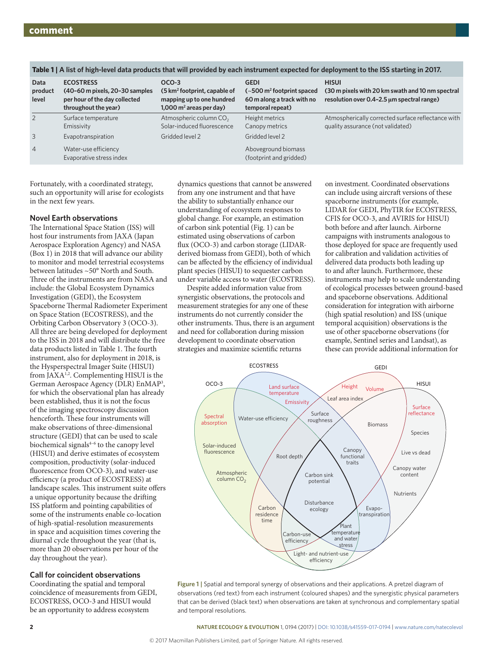| Data<br>product<br>level | <b>ECOSTRESS</b><br>(40-60 m pixels, 20-30 samples<br>per hour of the day collected<br>throughout the year) | OCO-3<br>(5 km <sup>2</sup> footprint, capable of<br>mapping up to one hundred<br>$1,000$ m <sup>2</sup> areas per day) | <b>GEDI</b><br>$\left(-500\right)$ m <sup>2</sup> footprint spaced<br>60 m along a track with no<br>temporal repeat) | <b>HISUI</b><br>(30 m pixels with 20 km swath and 10 nm spectral<br>resolution over 0.4-2.5 um spectral range) |
|--------------------------|-------------------------------------------------------------------------------------------------------------|-------------------------------------------------------------------------------------------------------------------------|----------------------------------------------------------------------------------------------------------------------|----------------------------------------------------------------------------------------------------------------|
| $\overline{2}$           | Surface temperature<br>Emissivity                                                                           | Atmospheric column CO <sub>2</sub><br>Solar-induced fluorescence                                                        | Height metrics<br>Canopy metrics                                                                                     | Atmospherically corrected surface reflectance with<br>quality assurance (not validated)                        |
| 3                        | Evapotranspiration                                                                                          | Gridded level 2                                                                                                         | Gridded level 2                                                                                                      |                                                                                                                |
| $\overline{4}$           | Water-use efficiency<br>Evaporative stress index                                                            |                                                                                                                         | Aboveground biomass<br>(footprint and gridded)                                                                       |                                                                                                                |

Table 1 | A list of high-level data products that will provided by each instrument expected for deployment to the ISS starting in 2017

Fortunately, with a coordinated strategy, such an opportunity will arise for ecologists in the next few years.

# **Novel Earth observations**

The International Space Station (ISS) will host four instruments from JAXA (Japan Aerospace Exploration Agency) and NASA (Box 1) in 2018 that will advance our ability to monitor and model terrestrial ecosystems between latitudes ~50° North and South. Three of the instruments are from NASA and include: the Global Ecosystem Dynamics Investigation (GEDI), the Ecosystem Spaceborne Thermal Radiometer Experiment on Space Station (ECOSTRESS), and the Orbiting Carbon Observatory 3 (OCO-3). All three are being developed for deployment to the ISS in 2018 and will distribute the free data products listed in Table 1. The fourth instrument, also for deployment in 2018, is the Hysperspectral Imager Suite (HISUI) from JAXA<sup>1,2</sup>. Complementing HISUI is the German Aerospace Agency (DLR) EnMAP3 , for which the observational plan has already been established, thus it is not the focus of the imaging spectroscopy discussion henceforth. These four instruments will make observations of three-dimensional structure (GEDI) that can be used to scale biochemical signals<sup>4-6</sup> to the canopy level (HISUI) and derive estimates of ecosystem composition, productivity (solar-induced fluorescence from OCO-3), and water-use efficiency (a product of ECOSTRESS) at landscape scales. This instrument suite offers a unique opportunity because the drifting ISS platform and pointing capabilities of some of the instruments enable co-location of high-spatial-resolution measurements in space and acquisition times covering the diurnal cycle throughout the year (that is, more than 20 observations per hour of the day throughout the year).

# **Call for coincident observations**

Coordinating the spatial and temporal coincidence of measurements from GEDI, ECOSTRESS, OCO-3 and HISUI would be an opportunity to address ecosystem

dynamics questions that cannot be answered from any one instrument and that have the ability to substantially enhance our understanding of ecosystem responses to global change. For example, an estimation of carbon sink potential (Fig. 1) can be estimated using observations of carbon flux (OCO-3) and carbon storage (LIDARderived biomass from GEDI), both of which can be affected by the efficiency of individual plant species (HISUI) to sequester carbon under variable access to water (ECOSTRESS).

Despite added information value from synergistic observations, the protocols and measurement strategies for any one of these instruments do not currently consider the other instruments. Thus, there is an argument and need for collaboration during mission development to coordinate observation strategies and maximize scientific returns

on investment. Coordinated observations can include using aircraft versions of these spaceborne instruments (for example, LIDAR for GEDI, PhyTIR for ECOSTRESS, CFIS for OCO-3, and AVIRIS for HISUI) both before and after launch. Airborne campaigns with instruments analogous to those deployed for space are frequently used for calibration and validation activities of delivered data products both leading up to and after launch. Furthermore, these instruments may help to scale understanding of ecological processes between ground-based and spaceborne observations. Additional consideration for integration with airborne (high spatial resolution) and ISS (unique temporal acquisition) observations is the use of other spaceborne observations (for example, Sentinel series and Landsat), as these can provide additional information for



**Figure 1 |** Spatial and temporal synergy of observations and their applications. A pretzel diagram of observations (red text) from each instrument (coloured shapes) and the synergistic physical parameters that can be derived (black text) when observations are taken at synchronous and complementary spatial and temporal resolutions.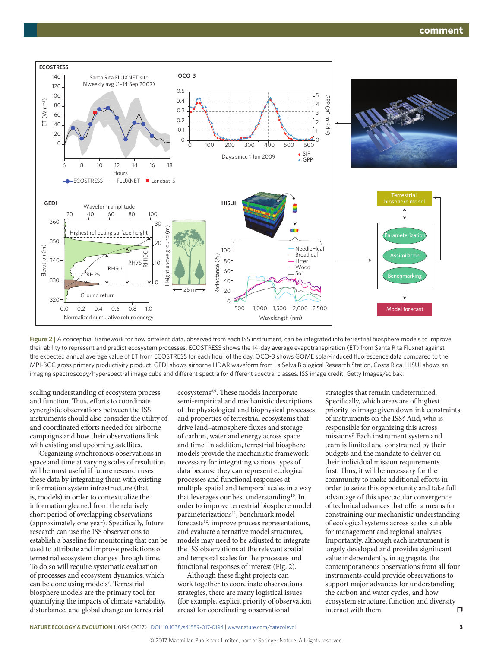

**Figure 2 |** A conceptual framework for how different data, observed from each ISS instrument, can be integrated into terrestrial biosphere models to improve their ability to represent and predict ecosystem processes. ECOSTRESS shows the 14-day average evapotranspiration (ET) from Santa Rita Fluxnet against the expected annual average value of ET from ECOSTRESS for each hour of the day. OCO-3 shows GOME solar-induced fluorescence data compared to the MPI-BGC gross primary productivity product. GEDI shows airborne LIDAR waveform from La Selva Biological Research Station, Costa Rica. HISUI shows an imaging spectroscopy/hyperspectral image cube and different spectra for different spectral classes. ISS image credit: Getty Images/scibak.

scaling understanding of ecosystem process and function. Thus, efforts to coordinate synergistic observations between the ISS instruments should also consider the utility of and coordinated efforts needed for airborne campaigns and how their observations link with existing and upcoming satellites.

Organizing synchronous observations in space and time at varying scales of resolution will be most useful if future research uses these data by integrating them with existing information system infrastructure (that is, models) in order to contextualize the information gleaned from the relatively short period of overlapping observations (approximately one year). Specifically, future research can use the ISS observations to establish a baseline for monitoring that can be used to attribute and improve predictions of terrestrial ecosystem changes through time. To do so will require systematic evaluation of processes and ecosystem dynamics, which can be done using models<sup>7</sup>. Terrestrial biosphere models are the primary tool for quantifying the impacts of climate variability, disturbance, and global change on terrestrial

ecosystems<sup>8,9</sup>. These models incorporate semi-empirical and mechanistic descriptions of the physiological and biophysical processes and properties of terrestrial ecosystems that drive land–atmosphere fluxes and storage of carbon, water and energy across space and time. In addition, terrestrial biosphere models provide the mechanistic framework necessary for integrating various types of data because they can represent ecological processes and functional responses at multiple spatial and temporal scales in a way that leverages our best understanding<sup>10</sup>. In order to improve terrestrial biosphere model parameterizations<sup>11</sup>, benchmark model forecasts<sup>12</sup>, improve process representations, and evaluate alternative model structures, models may need to be adjusted to integrate the ISS observations at the relevant spatial and temporal scales for the processes and functional responses of interest (Fig. 2).

Although these flight projects can work together to coordinate observations strategies, there are many logistical issues (for example, explicit priority of observation areas) for coordinating observational

strategies that remain undetermined. Specifically, which areas are of highest priority to image given downlink constraints of instruments on the ISS? And, who is responsible for organizing this across missions? Each instrument system and team is limited and constrained by their budgets and the mandate to deliver on their individual mission requirements first. Thus, it will be necessary for the community to make additional efforts in order to seize this opportunity and take full advantage of this spectacular convergence of technical advances that offer a means for constraining our mechanistic understanding of ecological systems across scales suitable for management and regional analyses. Importantly, although each instrument is largely developed and provides significant value independently, in aggregate, the contemporaneous observations from all four instruments could provide observations to support major advances for understanding the carbon and water cycles, and how ecosystem structure, function and diversity<br>interact with them interact with them.